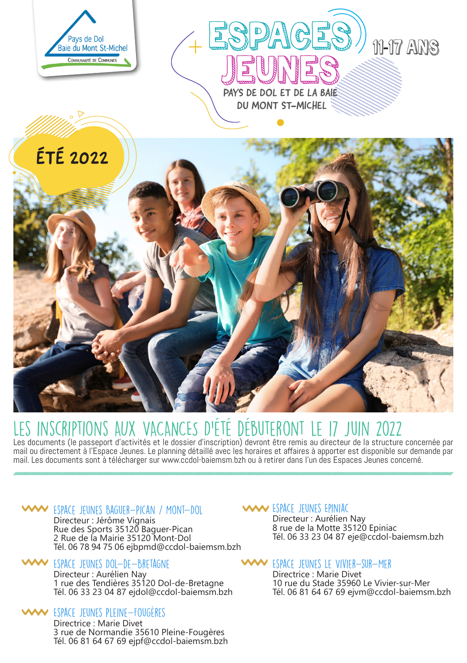

# LES INSCRIPTIONS AUX VACANCES D'ETE DEBUTERONT LE 17 JUIN 2022<br>Les documents (le passeport d'activités et le dossier d'inscription) devront être remis au directeur de la structure concernée par

mail ou directement à l'Espace Jeunes. Le planning détaillé avec les horaires et affaires à apporter est disponible sur demande par mail. Les documents sont à télécharger sur www.ccdol-baiemsm.bzh ou à retirer dans l'un des Espaces Jeunes concerné.

# Espace Jeunes Baguer-Pican / Mont-Dol

Directeur : Jérôme Vignais Rue des Sports 35120 Baguer-Pican 2 Rue de la Mairie 35120 Mont-Dol Tél. 06 78 94 75 06 ejbpmd@ccdol-baiemsm.bzh

# Espace Jeunes Dol-de-Bretagne

Directeur : Aurélien Nay 1 rue des Tendières 35120 Dol-de-Bretagne Tél. 06 33 23 04 87 ejdol@ccdol-baiemsm.bzh

### Espace Jeunes Pleine-Fougères

Directrice : Marie Divet 3 rue de Normandie 35610 Pleine-Fougères Tél. 06 81 64 67 69 ejpf@ccdol-baiemsm.bzh

# Espace Jeunes Epiniac

Directeur : Aurélien Nay 8 rue de la Motte 35120 Epiniac Tél. 06 33 23 04 87 eje@ccdol-baiemsm.bzh

# Espace Jeunes Le Vivier-sur-Mer

Directrice : Marie Divet 10 rue du Stade 35960 Le Vivier-sur-Mer Tél. 06 81 64 67 69 ejvm@ccdol-baiemsm.bzh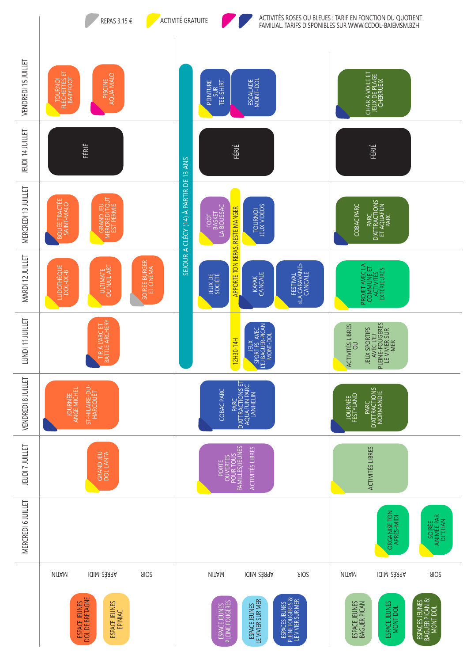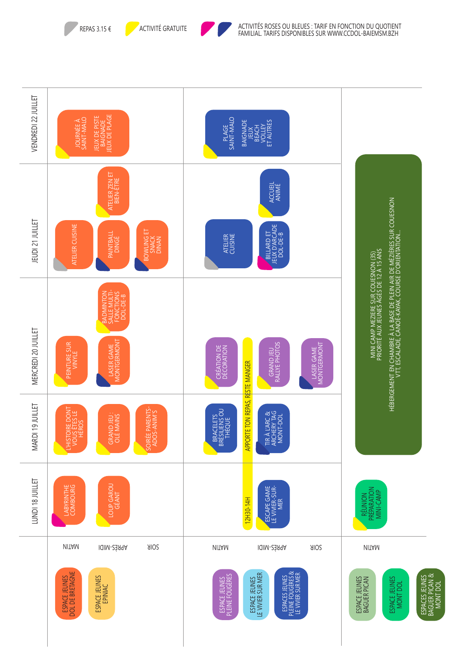



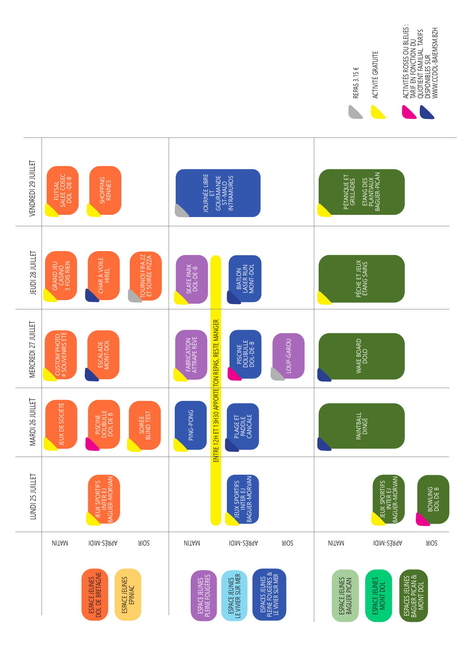

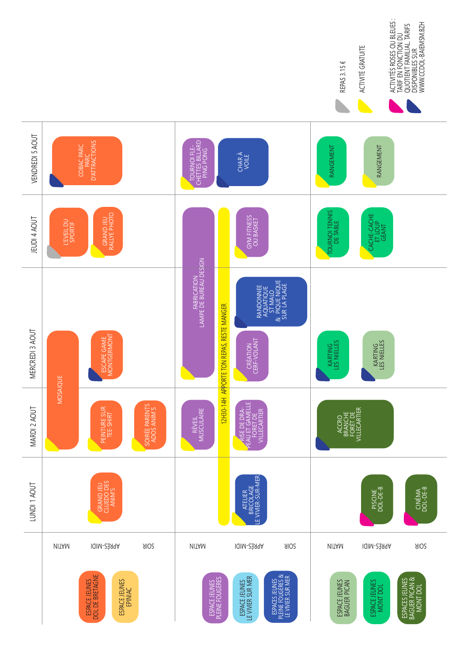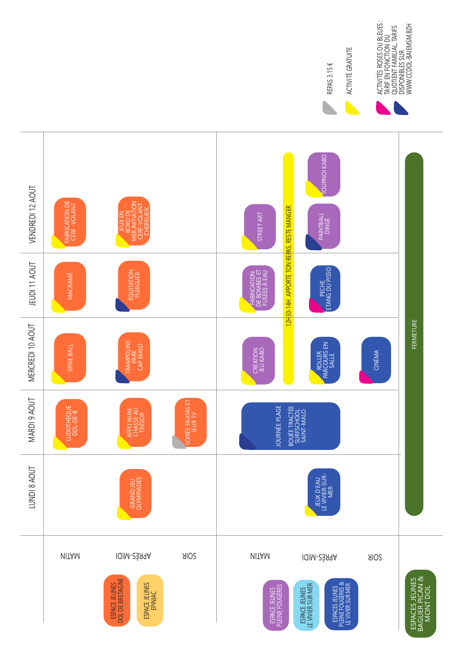

TARIF EN FONCTION DU

ACTIVITÉ GRATUITE

ACTIVITÉ GRATUITE REPAS 3.15 €

ACTIVITÉS ROSES OU BLEUES :<br>TARIF EN FONCTION DU<br>QUOTIENT FAMILIAL TARIFS<br>DISPONIBLES SUR<br>WWW.CCDOL-BAIEMSM.BZH ACTIVITÉS ROSES OU BLEUES : QUOTIENT FAMILIAL. TARIFS WWW.CCDOL-BAIEMSM.BZH DISPONIBLES SUR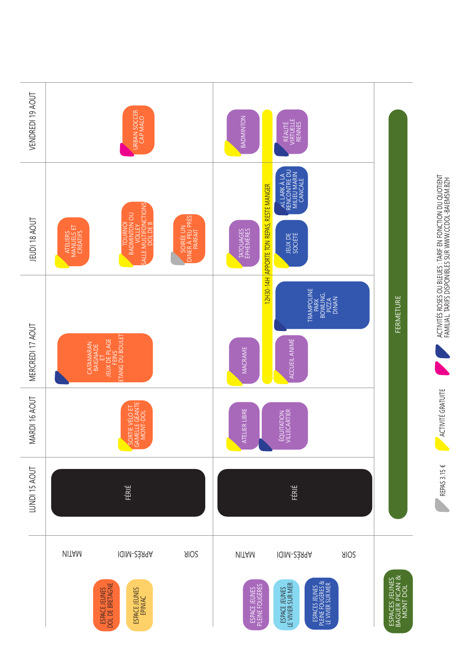